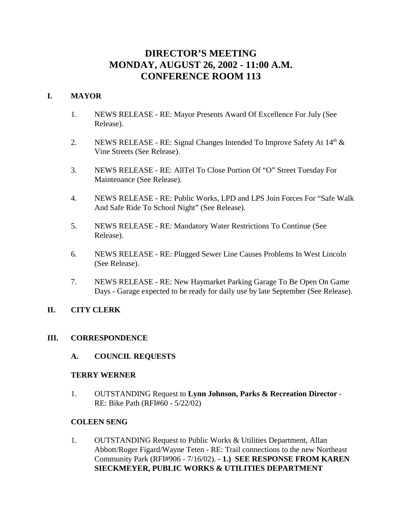# **DIRECTOR'S MEETING MONDAY, AUGUST 26, 2002 - 11:00 A.M. CONFERENCE ROOM 113**

# **I. MAYOR**

- 1. NEWS RELEASE RE: Mayor Presents Award Of Excellence For July (See Release).
- 2. NEWS RELEASE RE: Signal Changes Intended To Improve Safety At  $14<sup>th</sup>$  & Vine Streets (See Release).
- 3. NEWS RELEASE RE: AllTel To Close Portion Of "O" Street Tuesday For Maintenance (See Release).
- 4. NEWS RELEASE RE: Public Works, LPD and LPS Join Forces For "Safe Walk And Safe Ride To School Night" (See Release).
- 5. NEWS RELEASE RE: Mandatory Water Restrictions To Continue (See Release).
- 6. NEWS RELEASE RE: Plugged Sewer Line Causes Problems In West Lincoln (See Release).
- 7. NEWS RELEASE RE: New Haymarket Parking Garage To Be Open On Game Days - Garage expected to be ready for daily use by late September (See Release).

# **II. CITY CLERK**

# **III. CORRESPONDENCE**

**A. COUNCIL REQUESTS**

# **TERRY WERNER**

1. OUTSTANDING Request to **Lynn Johnson, Parks & Recreation Director** - RE: Bike Path (RFI#60 - 5/22/02)

# **COLEEN SENG**

1. OUTSTANDING Request to Public Works & Utilities Department, Allan Abbott/Roger Figard/Wayne Teten - RE: Trail connections to the new Northeast Community Park (RFI#906 - 7/16/02). - **1.) SEE RESPONSE FROM KAREN SIECKMEYER, PUBLIC WORKS & UTILITIES DEPARTMENT**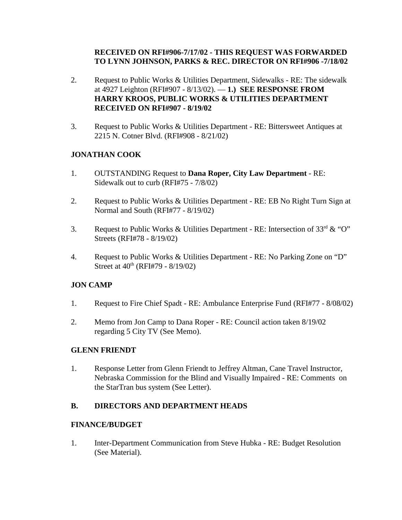# **RECEIVED ON RFI#906-7/17/02 - THIS REQUEST WAS FORWARDED TO LYNN JOHNSON, PARKS & REC. DIRECTOR ON RFI#906 -7/18/02**

- 2. Request to Public Works & Utilities Department, Sidewalks RE: The sidewalk at 4927 Leighton (RFI#907 - 8/13/02). — **1.) SEE RESPONSE FROM HARRY KROOS, PUBLIC WORKS & UTILITIES DEPARTMENT RECEIVED ON RFI#907 - 8/19/02**
- 3. Request to Public Works & Utilities Department RE: Bittersweet Antiques at 2215 N. Cotner Blvd. (RFI#908 - 8/21/02)

# **JONATHAN COOK**

- 1. OUTSTANDING Request to **Dana Roper, City Law Department** RE: Sidewalk out to curb (RFI#75 - 7/8/02)
- 2. Request to Public Works & Utilities Department RE: EB No Right Turn Sign at Normal and South (RFI#77 - 8/19/02)
- 3. Request to Public Works & Utilities Department RE: Intersection of  $33<sup>rd</sup>$  & "O" Streets (RFI#78 - 8/19/02)
- 4. Request to Public Works & Utilities Department RE: No Parking Zone on "D" Street at  $40^{\text{th}}$  (RFI#79 - 8/19/02)

# **JON CAMP**

- 1. Request to Fire Chief Spadt RE: Ambulance Enterprise Fund (RFI#77 8/08/02)
- 2. Memo from Jon Camp to Dana Roper RE: Council action taken 8/19/02 regarding 5 City TV (See Memo).

# **GLENN FRIENDT**

1. Response Letter from Glenn Friendt to Jeffrey Altman, Cane Travel Instructor, Nebraska Commission for the Blind and Visually Impaired - RE: Comments on the StarTran bus system (See Letter).

# **B. DIRECTORS AND DEPARTMENT HEADS**

### **FINANCE/BUDGET**

1. Inter-Department Communication from Steve Hubka - RE: Budget Resolution (See Material).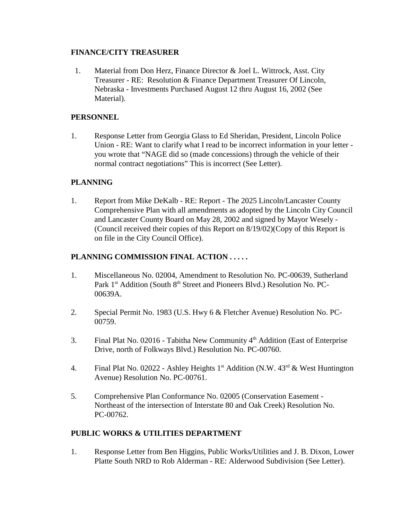# **FINANCE/CITY TREASURER**

 1. Material from Don Herz, Finance Director & Joel L. Wittrock, Asst. City Treasurer - RE: Resolution & Finance Department Treasurer Of Lincoln, Nebraska - Investments Purchased August 12 thru August 16, 2002 (See Material).

# **PERSONNEL**

1. Response Letter from Georgia Glass to Ed Sheridan, President, Lincoln Police Union - RE: Want to clarify what I read to be incorrect information in your letter you wrote that "NAGE did so (made concessions) through the vehicle of their normal contract negotiations" This is incorrect (See Letter).

# **PLANNING**

1. Report from Mike DeKalb - RE: Report - The 2025 Lincoln/Lancaster County Comprehensive Plan with all amendments as adopted by the Lincoln City Council and Lancaster County Board on May 28, 2002 and signed by Mayor Wesely - (Council received their copies of this Report on 8/19/02)(Copy of this Report is on file in the City Council Office).

# **PLANNING COMMISSION FINAL ACTION . . . . .**

- 1. Miscellaneous No. 02004, Amendment to Resolution No. PC-00639, Sutherland Park 1<sup>st</sup> Addition (South 8<sup>th</sup> Street and Pioneers Blvd.) Resolution No. PC-00639A.
- 2. Special Permit No. 1983 (U.S. Hwy 6 & Fletcher Avenue) Resolution No. PC-00759.
- 3. Final Plat No. 02016 Tabitha New Community  $4<sup>th</sup>$  Addition (East of Enterprise Drive, north of Folkways Blvd.) Resolution No. PC-00760.
- 4. Final Plat No. 02022 Ashley Heights  $1<sup>st</sup>$  Addition (N.W.  $43<sup>rd</sup>$  & West Huntington Avenue) Resolution No. PC-00761.
- 5. Comprehensive Plan Conformance No. 02005 (Conservation Easement Northeast of the intersection of Interstate 80 and Oak Creek) Resolution No. PC-00762.

# **PUBLIC WORKS & UTILITIES DEPARTMENT**

1. Response Letter from Ben Higgins, Public Works/Utilities and J. B. Dixon, Lower Platte South NRD to Rob Alderman - RE: Alderwood Subdivision (See Letter).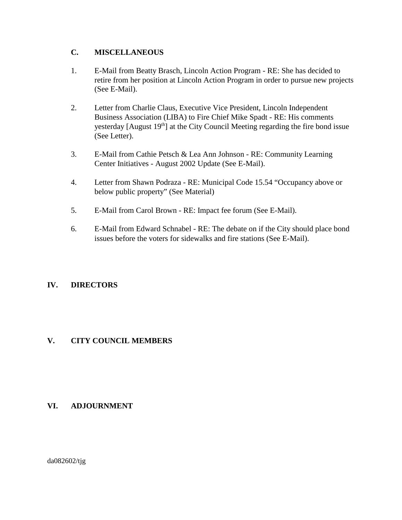# **C. MISCELLANEOUS**

- 1. E-Mail from Beatty Brasch, Lincoln Action Program RE: She has decided to retire from her position at Lincoln Action Program in order to pursue new projects (See E-Mail).
- 2. Letter from Charlie Claus, Executive Vice President, Lincoln Independent Business Association (LIBA) to Fire Chief Mike Spadt - RE: His comments yesterday [August 19<sup>th</sup>] at the City Council Meeting regarding the fire bond issue (See Letter).
- 3. E-Mail from Cathie Petsch & Lea Ann Johnson RE: Community Learning Center Initiatives - August 2002 Update (See E-Mail).
- 4. Letter from Shawn Podraza RE: Municipal Code 15.54 "Occupancy above or below public property" (See Material)
- 5. E-Mail from Carol Brown RE: Impact fee forum (See E-Mail).
- 6. E-Mail from Edward Schnabel RE: The debate on if the City should place bond issues before the voters for sidewalks and fire stations (See E-Mail).

# **IV. DIRECTORS**

# **V. CITY COUNCIL MEMBERS**

# **VI. ADJOURNMENT**

da082602/tjg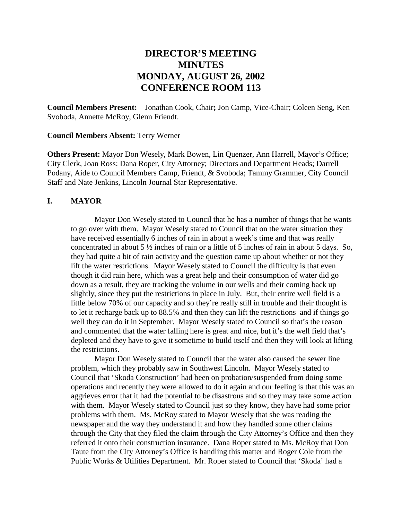# **DIRECTOR'S MEETING MINUTES MONDAY, AUGUST 26, 2002 CONFERENCE ROOM 113**

**Council Members Present:** Jonathan Cook, Chair**;** Jon Camp, Vice-Chair; Coleen Seng, Ken Svoboda, Annette McRoy, Glenn Friendt.

#### **Council Members Absent:** Terry Werner

**Others Present:** Mayor Don Wesely, Mark Bowen, Lin Quenzer, Ann Harrell, Mayor's Office; City Clerk, Joan Ross; Dana Roper, City Attorney; Directors and Department Heads; Darrell Podany, Aide to Council Members Camp, Friendt, & Svoboda; Tammy Grammer, City Council Staff and Nate Jenkins, Lincoln Journal Star Representative.

#### **I. MAYOR**

Mayor Don Wesely stated to Council that he has a number of things that he wants to go over with them. Mayor Wesely stated to Council that on the water situation they have received essentially 6 inches of rain in about a week's time and that was really concentrated in about 5 ½ inches of rain or a little of 5 inches of rain in about 5 days. So, they had quite a bit of rain activity and the question came up about whether or not they lift the water restrictions. Mayor Wesely stated to Council the difficulty is that even though it did rain here, which was a great help and their consumption of water did go down as a result, they are tracking the volume in our wells and their coming back up slightly, since they put the restrictions in place in July. But, their entire well field is a little below 70% of our capacity and so they're really still in trouble and their thought is to let it recharge back up to 88.5% and then they can lift the restrictions and if things go well they can do it in September. Mayor Wesely stated to Council so that's the reason and commented that the water falling here is great and nice, but it's the well field that's depleted and they have to give it sometime to build itself and then they will look at lifting the restrictions.

Mayor Don Wesely stated to Council that the water also caused the sewer line problem, which they probably saw in Southwest Lincoln. Mayor Wesely stated to Council that 'Skoda Construction' had been on probation/suspended from doing some operations and recently they were allowed to do it again and our feeling is that this was an aggrieves error that it had the potential to be disastrous and so they may take some action with them. Mayor Wesely stated to Council just so they know, they have had some prior problems with them. Ms. McRoy stated to Mayor Wesely that she was reading the newspaper and the way they understand it and how they handled some other claims through the City that they filed the claim through the City Attorney's Office and then they referred it onto their construction insurance. Dana Roper stated to Ms. McRoy that Don Taute from the City Attorney's Office is handling this matter and Roger Cole from the Public Works & Utilities Department. Mr. Roper stated to Council that 'Skoda' had a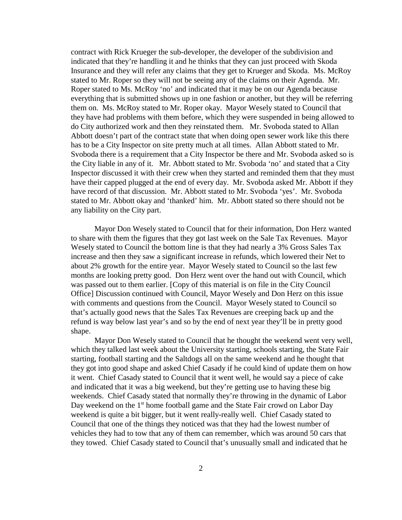contract with Rick Krueger the sub-developer, the developer of the subdivision and indicated that they're handling it and he thinks that they can just proceed with Skoda Insurance and they will refer any claims that they get to Krueger and Skoda. Ms. McRoy stated to Mr. Roper so they will not be seeing any of the claims on their Agenda. Mr. Roper stated to Ms. McRoy 'no' and indicated that it may be on our Agenda because everything that is submitted shows up in one fashion or another, but they will be referring them on. Ms. McRoy stated to Mr. Roper okay. Mayor Wesely stated to Council that they have had problems with them before, which they were suspended in being allowed to do City authorized work and then they reinstated them. Mr. Svoboda stated to Allan Abbott doesn't part of the contract state that when doing open sewer work like this there has to be a City Inspector on site pretty much at all times. Allan Abbott stated to Mr. Svoboda there is a requirement that a City Inspector be there and Mr. Svoboda asked so is the City liable in any of it. Mr. Abbott stated to Mr. Svoboda 'no' and stated that a City Inspector discussed it with their crew when they started and reminded them that they must have their capped plugged at the end of every day. Mr. Svoboda asked Mr. Abbott if they have record of that discussion. Mr. Abbott stated to Mr. Svoboda 'yes'. Mr. Svoboda stated to Mr. Abbott okay and 'thanked' him. Mr. Abbott stated so there should not be any liability on the City part.

Mayor Don Wesely stated to Council that for their information, Don Herz wanted to share with them the figures that they got last week on the Sale Tax Revenues. Mayor Wesely stated to Council the bottom line is that they had nearly a 3% Gross Sales Tax increase and then they saw a significant increase in refunds, which lowered their Net to about 2% growth for the entire year. Mayor Wesely stated to Council so the last few months are looking pretty good. Don Herz went over the hand out with Council, which was passed out to them earlier. [Copy of this material is on file in the City Council Office] Discussion continued with Council, Mayor Wesely and Don Herz on this issue with comments and questions from the Council. Mayor Wesely stated to Council so that's actually good news that the Sales Tax Revenues are creeping back up and the refund is way below last year's and so by the end of next year they'll be in pretty good shape.

Mayor Don Wesely stated to Council that he thought the weekend went very well, which they talked last week about the University starting, schools starting, the State Fair starting, football starting and the Saltdogs all on the same weekend and he thought that they got into good shape and asked Chief Casady if he could kind of update them on how it went. Chief Casady stated to Council that it went well, he would say a piece of cake and indicated that it was a big weekend, but they're getting use to having these big weekends. Chief Casady stated that normally they're throwing in the dynamic of Labor Day weekend on the  $1<sup>st</sup>$  home football game and the State Fair crowd on Labor Day weekend is quite a bit bigger, but it went really-really well. Chief Casady stated to Council that one of the things they noticed was that they had the lowest number of vehicles they had to tow that any of them can remember, which was around 50 cars that they towed. Chief Casady stated to Council that's unusually small and indicated that he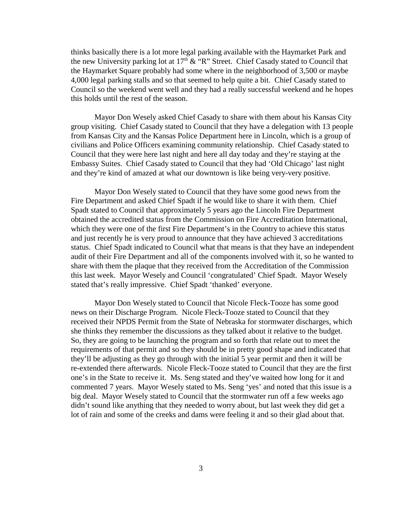thinks basically there is a lot more legal parking available with the Haymarket Park and the new University parking lot at  $17<sup>th</sup> \& 'R'$  Street. Chief Casady stated to Council that the Haymarket Square probably had some where in the neighborhood of 3,500 or maybe 4,000 legal parking stalls and so that seemed to help quite a bit. Chief Casady stated to Council so the weekend went well and they had a really successful weekend and he hopes this holds until the rest of the season.

Mayor Don Wesely asked Chief Casady to share with them about his Kansas City group visiting. Chief Casady stated to Council that they have a delegation with 13 people from Kansas City and the Kansas Police Department here in Lincoln, which is a group of civilians and Police Officers examining community relationship. Chief Casady stated to Council that they were here last night and here all day today and they're staying at the Embassy Suites. Chief Casady stated to Council that they had 'Old Chicago' last night and they're kind of amazed at what our downtown is like being very-very positive.

Mayor Don Wesely stated to Council that they have some good news from the Fire Department and asked Chief Spadt if he would like to share it with them. Chief Spadt stated to Council that approximately 5 years ago the Lincoln Fire Department obtained the accredited status from the Commission on Fire Accreditation International, which they were one of the first Fire Department's in the Country to achieve this status and just recently he is very proud to announce that they have achieved 3 accreditations status. Chief Spadt indicated to Council what that means is that they have an independent audit of their Fire Department and all of the components involved with it, so he wanted to share with them the plaque that they received from the Accreditation of the Commission this last week. Mayor Wesely and Council 'congratulated' Chief Spadt. Mayor Wesely stated that's really impressive. Chief Spadt 'thanked' everyone.

Mayor Don Wesely stated to Council that Nicole Fleck-Tooze has some good news on their Discharge Program. Nicole Fleck-Tooze stated to Council that they received their NPDS Permit from the State of Nebraska for stormwater discharges, which she thinks they remember the discussions as they talked about it relative to the budget. So, they are going to be launching the program and so forth that relate out to meet the requirements of that permit and so they should be in pretty good shape and indicated that they'll be adjusting as they go through with the initial 5 year permit and then it will be re-extended there afterwards. Nicole Fleck-Tooze stated to Council that they are the first one's in the State to receive it. Ms. Seng stated and they've waited how long for it and commented 7 years. Mayor Wesely stated to Ms. Seng 'yes' and noted that this issue is a big deal. Mayor Wesely stated to Council that the stormwater run off a few weeks ago didn't sound like anything that they needed to worry about, but last week they did get a lot of rain and some of the creeks and dams were feeling it and so their glad about that.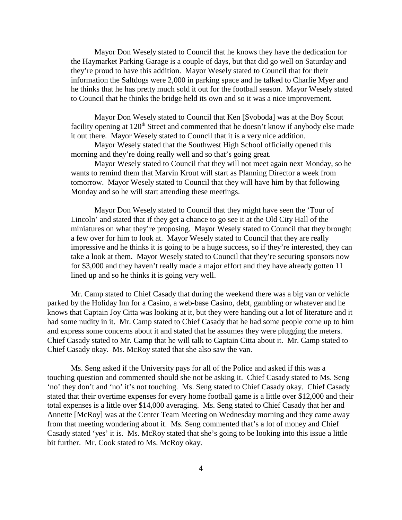Mayor Don Wesely stated to Council that he knows they have the dedication for the Haymarket Parking Garage is a couple of days, but that did go well on Saturday and they're proud to have this addition. Mayor Wesely stated to Council that for their information the Saltdogs were 2,000 in parking space and he talked to Charlie Myer and he thinks that he has pretty much sold it out for the football season. Mayor Wesely stated to Council that he thinks the bridge held its own and so it was a nice improvement.

Mayor Don Wesely stated to Council that Ken [Svoboda] was at the Boy Scout facility opening at 120<sup>th</sup> Street and commented that he doesn't know if anybody else made it out there. Mayor Wesely stated to Council that it is a very nice addition.

Mayor Wesely stated that the Southwest High School officially opened this morning and they're doing really well and so that's going great.

Mayor Wesely stated to Council that they will not meet again next Monday, so he wants to remind them that Marvin Krout will start as Planning Director a week from tomorrow. Mayor Wesely stated to Council that they will have him by that following Monday and so he will start attending these meetings.

Mayor Don Wesely stated to Council that they might have seen the 'Tour of Lincoln' and stated that if they get a chance to go see it at the Old City Hall of the miniatures on what they're proposing. Mayor Wesely stated to Council that they brought a few over for him to look at. Mayor Wesely stated to Council that they are really impressive and he thinks it is going to be a huge success, so if they're interested, they can take a look at them. Mayor Wesely stated to Council that they're securing sponsors now for \$3,000 and they haven't really made a major effort and they have already gotten 11 lined up and so he thinks it is going very well.

Mr. Camp stated to Chief Casady that during the weekend there was a big van or vehicle parked by the Holiday Inn for a Casino, a web-base Casino, debt, gambling or whatever and he knows that Captain Joy Citta was looking at it, but they were handing out a lot of literature and it had some nudity in it. Mr. Camp stated to Chief Casady that he had some people come up to him and express some concerns about it and stated that he assumes they were plugging the meters. Chief Casady stated to Mr. Camp that he will talk to Captain Citta about it. Mr. Camp stated to Chief Casady okay. Ms. McRoy stated that she also saw the van.

Ms. Seng asked if the University pays for all of the Police and asked if this was a touching question and commented should she not be asking it. Chief Casady stated to Ms. Seng 'no' they don't and 'no' it's not touching. Ms. Seng stated to Chief Casady okay. Chief Casady stated that their overtime expenses for every home football game is a little over \$12,000 and their total expenses is a little over \$14,000 averaging. Ms. Seng stated to Chief Casady that her and Annette [McRoy] was at the Center Team Meeting on Wednesday morning and they came away from that meeting wondering about it. Ms. Seng commented that's a lot of money and Chief Casady stated 'yes' it is. Ms. McRoy stated that she's going to be looking into this issue a little bit further. Mr. Cook stated to Ms. McRoy okay.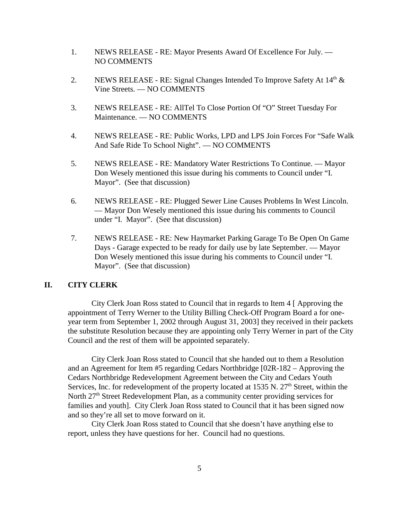- 1. NEWS RELEASE RE: Mayor Presents Award Of Excellence For July. NO COMMENTS
- 2. NEWS RELEASE RE: Signal Changes Intended To Improve Safety At  $14<sup>th</sup>$  & Vine Streets. — NO COMMENTS
- 3. NEWS RELEASE RE: AllTel To Close Portion Of "O" Street Tuesday For Maintenance. — NO COMMENTS
- 4. NEWS RELEASE RE: Public Works, LPD and LPS Join Forces For "Safe Walk And Safe Ride To School Night". — NO COMMENTS
- 5. NEWS RELEASE RE: Mandatory Water Restrictions To Continue. Mayor Don Wesely mentioned this issue during his comments to Council under "I. Mayor". (See that discussion)
- 6. NEWS RELEASE RE: Plugged Sewer Line Causes Problems In West Lincoln. — Mayor Don Wesely mentioned this issue during his comments to Council under "I. Mayor". (See that discussion)
- 7. NEWS RELEASE RE: New Haymarket Parking Garage To Be Open On Game Days - Garage expected to be ready for daily use by late September. — Mayor Don Wesely mentioned this issue during his comments to Council under "I. Mayor". (See that discussion)

#### **II. CITY CLERK**

City Clerk Joan Ross stated to Council that in regards to Item 4 [ Approving the appointment of Terry Werner to the Utility Billing Check-Off Program Board a for oneyear term from September 1, 2002 through August 31, 2003] they received in their packets the substitute Resolution because they are appointing only Terry Werner in part of the City Council and the rest of them will be appointed separately.

City Clerk Joan Ross stated to Council that she handed out to them a Resolution and an Agreement for Item #5 regarding Cedars Northbridge [02R-182 – Approving the Cedars Northbridge Redevelopment Agreement between the City and Cedars Youth Services, Inc. for redevelopment of the property located at 1535 N.  $27<sup>th</sup>$  Street, within the North  $27<sup>th</sup>$  Street Redevelopment Plan, as a community center providing services for families and youth]. City Clerk Joan Ross stated to Council that it has been signed now and so they're all set to move forward on it.

City Clerk Joan Ross stated to Council that she doesn't have anything else to report, unless they have questions for her. Council had no questions.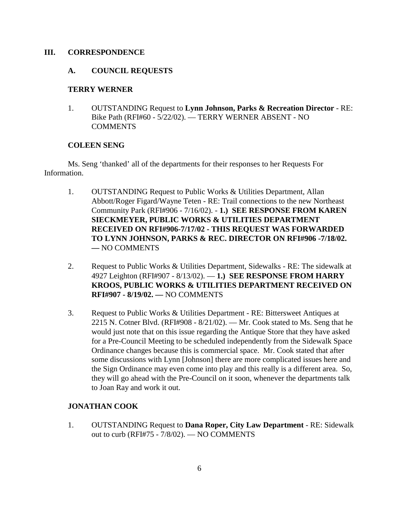#### **III. CORRESPONDENCE**

## **A. COUNCIL REQUESTS**

### **TERRY WERNER**

1. OUTSTANDING Request to **Lynn Johnson, Parks & Recreation Director** - RE: Bike Path (RFI#60 - 5/22/02). — TERRY WERNER ABSENT - NO COMMENTS

#### **COLEEN SENG**

Ms. Seng 'thanked' all of the departments for their responses to her Requests For Information.

- 1. OUTSTANDING Request to Public Works & Utilities Department, Allan Abbott/Roger Figard/Wayne Teten - RE: Trail connections to the new Northeast Community Park (RFI#906 - 7/16/02). - **1.) SEE RESPONSE FROM KAREN SIECKMEYER, PUBLIC WORKS & UTILITIES DEPARTMENT RECEIVED ON RFI#906-7/17/02 - THIS REQUEST WAS FORWARDED TO LYNN JOHNSON, PARKS & REC. DIRECTOR ON RFI#906 -7/18/02. —** NO COMMENTS
- 2. Request to Public Works & Utilities Department, Sidewalks RE: The sidewalk at 4927 Leighton (RFI#907 - 8/13/02). — **1.) SEE RESPONSE FROM HARRY KROOS, PUBLIC WORKS & UTILITIES DEPARTMENT RECEIVED ON RFI#907 - 8/19/02. —** NO COMMENTS
- 3. Request to Public Works & Utilities Department RE: Bittersweet Antiques at 2215 N. Cotner Blvd. (RFI#908 - 8/21/02). — Mr. Cook stated to Ms. Seng that he would just note that on this issue regarding the Antique Store that they have asked for a Pre-Council Meeting to be scheduled independently from the Sidewalk Space Ordinance changes because this is commercial space. Mr. Cook stated that after some discussions with Lynn [Johnson] there are more complicated issues here and the Sign Ordinance may even come into play and this really is a different area. So, they will go ahead with the Pre-Council on it soon, whenever the departments talk to Joan Ray and work it out.

### **JONATHAN COOK**

1. OUTSTANDING Request to **Dana Roper, City Law Department** - RE: Sidewalk out to curb (RFI#75 - 7/8/02). — NO COMMENTS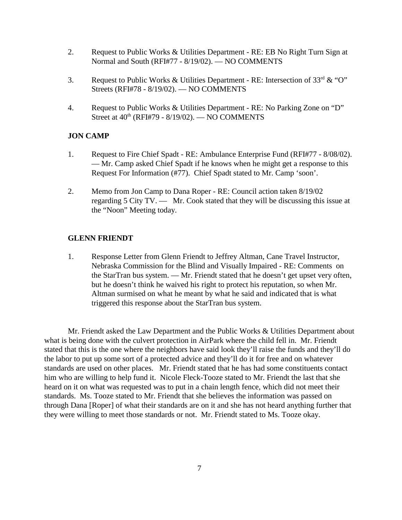- 2. Request to Public Works & Utilities Department RE: EB No Right Turn Sign at Normal and South (RFI#77 - 8/19/02). — NO COMMENTS
- 3. Request to Public Works & Utilities Department RE: Intersection of 33rd & "O" Streets (RFI#78 - 8/19/02). — NO COMMENTS
- 4. Request to Public Works & Utilities Department RE: No Parking Zone on "D" Street at  $40<sup>th</sup>$  (RFI#79 -  $8/19/02$ ). — NO COMMENTS

#### **JON CAMP**

- 1. Request to Fire Chief Spadt RE: Ambulance Enterprise Fund (RFI#77 8/08/02). — Mr. Camp asked Chief Spadt if he knows when he might get a response to this Request For Information (#77). Chief Spadt stated to Mr. Camp 'soon'.
- 2. Memo from Jon Camp to Dana Roper RE: Council action taken 8/19/02 regarding 5 City TV. — Mr. Cook stated that they will be discussing this issue at the "Noon" Meeting today.

## **GLENN FRIENDT**

1. Response Letter from Glenn Friendt to Jeffrey Altman, Cane Travel Instructor, Nebraska Commission for the Blind and Visually Impaired - RE: Comments on the StarTran bus system. — Mr. Friendt stated that he doesn't get upset very often, but he doesn't think he waived his right to protect his reputation, so when Mr. Altman surmised on what he meant by what he said and indicated that is what triggered this response about the StarTran bus system.

Mr. Friendt asked the Law Department and the Public Works & Utilities Department about what is being done with the culvert protection in AirPark where the child fell in. Mr. Friendt stated that this is the one where the neighbors have said look they'll raise the funds and they'll do the labor to put up some sort of a protected advice and they'll do it for free and on whatever standards are used on other places. Mr. Friendt stated that he has had some constituents contact him who are willing to help fund it. Nicole Fleck-Tooze stated to Mr. Friendt the last that she heard on it on what was requested was to put in a chain length fence, which did not meet their standards. Ms. Tooze stated to Mr. Friendt that she believes the information was passed on through Dana [Roper] of what their standards are on it and she has not heard anything further that they were willing to meet those standards or not. Mr. Friendt stated to Ms. Tooze okay.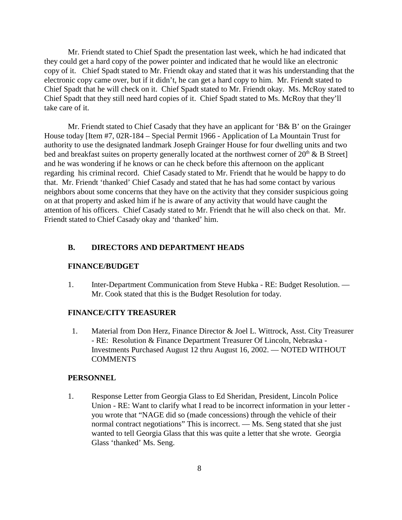Mr. Friendt stated to Chief Spadt the presentation last week, which he had indicated that they could get a hard copy of the power pointer and indicated that he would like an electronic copy of it. Chief Spadt stated to Mr. Friendt okay and stated that it was his understanding that the electronic copy came over, but if it didn't, he can get a hard copy to him. Mr. Friendt stated to Chief Spadt that he will check on it. Chief Spadt stated to Mr. Friendt okay. Ms. McRoy stated to Chief Spadt that they still need hard copies of it. Chief Spadt stated to Ms. McRoy that they'll take care of it.

Mr. Friendt stated to Chief Casady that they have an applicant for 'B& B' on the Grainger House today [Item #7, 02R-184 – Special Permit 1966 - Application of La Mountain Trust for authority to use the designated landmark Joseph Grainger House for four dwelling units and two bed and breakfast suites on property generally located at the northwest corner of  $20<sup>th</sup>$  & B Street] and he was wondering if he knows or can he check before this afternoon on the applicant regarding his criminal record. Chief Casady stated to Mr. Friendt that he would be happy to do that. Mr. Friendt 'thanked' Chief Casady and stated that he has had some contact by various neighbors about some concerns that they have on the activity that they consider suspicious going on at that property and asked him if he is aware of any activity that would have caught the attention of his officers. Chief Casady stated to Mr. Friendt that he will also check on that. Mr. Friendt stated to Chief Casady okay and 'thanked' him.

#### **B. DIRECTORS AND DEPARTMENT HEADS**

#### **FINANCE/BUDGET**

1. Inter-Department Communication from Steve Hubka - RE: Budget Resolution. — Mr. Cook stated that this is the Budget Resolution for today.

#### **FINANCE/CITY TREASURER**

 1. Material from Don Herz, Finance Director & Joel L. Wittrock, Asst. City Treasurer - RE: Resolution & Finance Department Treasurer Of Lincoln, Nebraska - Investments Purchased August 12 thru August 16, 2002. — NOTED WITHOUT **COMMENTS** 

#### **PERSONNEL**

1. Response Letter from Georgia Glass to Ed Sheridan, President, Lincoln Police Union - RE: Want to clarify what I read to be incorrect information in your letter you wrote that "NAGE did so (made concessions) through the vehicle of their normal contract negotiations" This is incorrect. — Ms. Seng stated that she just wanted to tell Georgia Glass that this was quite a letter that she wrote. Georgia Glass 'thanked' Ms. Seng.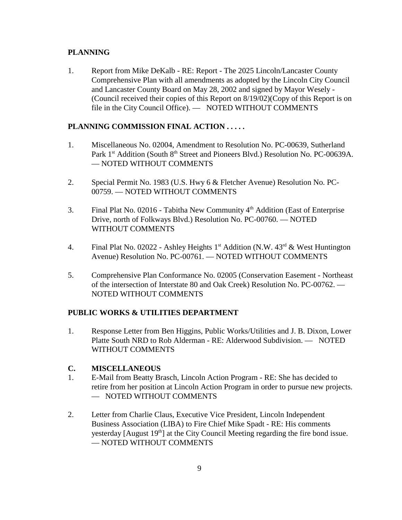## **PLANNING**

1. Report from Mike DeKalb - RE: Report - The 2025 Lincoln/Lancaster County Comprehensive Plan with all amendments as adopted by the Lincoln City Council and Lancaster County Board on May 28, 2002 and signed by Mayor Wesely - (Council received their copies of this Report on 8/19/02)(Copy of this Report is on file in the City Council Office). — NOTED WITHOUT COMMENTS

# **PLANNING COMMISSION FINAL ACTION . . . . .**

- 1. Miscellaneous No. 02004, Amendment to Resolution No. PC-00639, Sutherland Park 1<sup>st</sup> Addition (South 8<sup>th</sup> Street and Pioneers Blvd.) Resolution No. PC-00639A. — NOTED WITHOUT COMMENTS
- 2. Special Permit No. 1983 (U.S. Hwy 6 & Fletcher Avenue) Resolution No. PC-00759. — NOTED WITHOUT COMMENTS
- 3. Final Plat No. 02016 Tabitha New Community  $4<sup>th</sup>$  Addition (East of Enterprise Drive, north of Folkways Blvd.) Resolution No. PC-00760. — NOTED WITHOUT COMMENTS
- 4. Final Plat No. 02022 Ashley Heights  $1<sup>st</sup>$  Addition (N.W.  $43<sup>rd</sup>$  & West Huntington Avenue) Resolution No. PC-00761. — NOTED WITHOUT COMMENTS
- 5. Comprehensive Plan Conformance No. 02005 (Conservation Easement Northeast of the intersection of Interstate 80 and Oak Creek) Resolution No. PC-00762. — NOTED WITHOUT COMMENTS

### **PUBLIC WORKS & UTILITIES DEPARTMENT**

1. Response Letter from Ben Higgins, Public Works/Utilities and J. B. Dixon, Lower Platte South NRD to Rob Alderman - RE: Alderwood Subdivision. — NOTED WITHOUT COMMENTS

### **C. MISCELLANEOUS**

- 1. E-Mail from Beatty Brasch, Lincoln Action Program RE: She has decided to retire from her position at Lincoln Action Program in order to pursue new projects. — NOTED WITHOUT COMMENTS
- 2. Letter from Charlie Claus, Executive Vice President, Lincoln Independent Business Association (LIBA) to Fire Chief Mike Spadt - RE: His comments yesterday [August 19<sup>th</sup>] at the City Council Meeting regarding the fire bond issue. — NOTED WITHOUT COMMENTS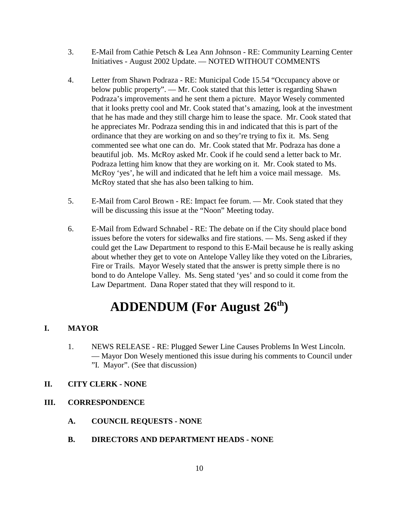- 3. E-Mail from Cathie Petsch & Lea Ann Johnson RE: Community Learning Center Initiatives - August 2002 Update. — NOTED WITHOUT COMMENTS
- 4. Letter from Shawn Podraza RE: Municipal Code 15.54 "Occupancy above or below public property". — Mr. Cook stated that this letter is regarding Shawn Podraza's improvements and he sent them a picture. Mayor Wesely commented that it looks pretty cool and Mr. Cook stated that's amazing, look at the investment that he has made and they still charge him to lease the space. Mr. Cook stated that he appreciates Mr. Podraza sending this in and indicated that this is part of the ordinance that they are working on and so they're trying to fix it. Ms. Seng commented see what one can do. Mr. Cook stated that Mr. Podraza has done a beautiful job. Ms. McRoy asked Mr. Cook if he could send a letter back to Mr. Podraza letting him know that they are working on it. Mr. Cook stated to Ms. McRoy 'yes', he will and indicated that he left him a voice mail message. Ms. McRoy stated that she has also been talking to him.
- 5. E-Mail from Carol Brown RE: Impact fee forum. Mr. Cook stated that they will be discussing this issue at the "Noon" Meeting today.
- 6. E-Mail from Edward Schnabel RE: The debate on if the City should place bond issues before the voters for sidewalks and fire stations. — Ms. Seng asked if they could get the Law Department to respond to this E-Mail because he is really asking about whether they get to vote on Antelope Valley like they voted on the Libraries, Fire or Trails. Mayor Wesely stated that the answer is pretty simple there is no bond to do Antelope Valley. Ms. Seng stated 'yes' and so could it come from the Law Department. Dana Roper stated that they will respond to it.

# **ADDENDUM (For August 26th)**

# **I. MAYOR**

1. NEWS RELEASE - RE: Plugged Sewer Line Causes Problems In West Lincoln. — Mayor Don Wesely mentioned this issue during his comments to Council under "I. Mayor". (See that discussion)

# **II. CITY CLERK - NONE**

# **III. CORRESPONDENCE**

- **A. COUNCIL REQUESTS NONE**
- **B. DIRECTORS AND DEPARTMENT HEADS NONE**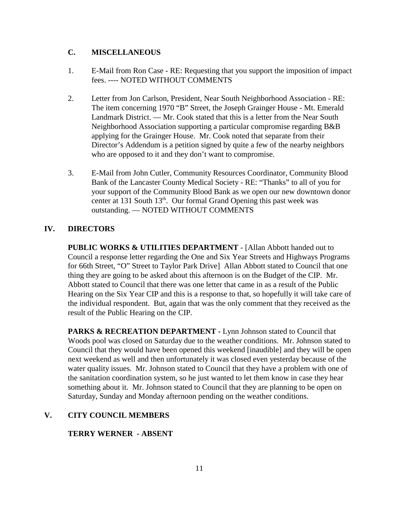### **C. MISCELLANEOUS**

- 1. E-Mail from Ron Case RE: Requesting that you support the imposition of impact fees. ---- NOTED WITHOUT COMMENTS
- 2. Letter from Jon Carlson, President, Near South Neighborhood Association RE: The item concerning 1970 "B" Street, the Joseph Grainger House - Mt. Emerald Landmark District. — Mr. Cook stated that this is a letter from the Near South Neighborhood Association supporting a particular compromise regarding B&B applying for the Grainger House. Mr. Cook noted that separate from their Director's Addendum is a petition signed by quite a few of the nearby neighbors who are opposed to it and they don't want to compromise.
- 3. E-Mail from John Cutler, Community Resources Coordinator, Community Blood Bank of the Lancaster County Medical Society - RE: "Thanks" to all of you for your support of the Community Blood Bank as we open our new downtown donor center at 131 South 13<sup>th</sup>. Our formal Grand Opening this past week was outstanding. — NOTED WITHOUT COMMENTS

## **IV. DIRECTORS**

**PUBLIC WORKS & UTILITIES DEPARTMENT** - [Allan Abbott handed out to Council a response letter regarding the One and Six Year Streets and Highways Programs for 66th Street, "O" Street to Taylor Park Drive] Allan Abbott stated to Council that one thing they are going to be asked about this afternoon is on the Budget of the CIP. Mr. Abbott stated to Council that there was one letter that came in as a result of the Public Hearing on the Six Year CIP and this is a response to that, so hopefully it will take care of the individual respondent. But, again that was the only comment that they received as the result of the Public Hearing on the CIP.

**PARKS & RECREATION DEPARTMENT - Lynn Johnson stated to Council that** Woods pool was closed on Saturday due to the weather conditions. Mr. Johnson stated to Council that they would have been opened this weekend [inaudible] and they will be open next weekend as well and then unfortunately it was closed even yesterday because of the water quality issues. Mr. Johnson stated to Council that they have a problem with one of the sanitation coordination system, so he just wanted to let them know in case they hear something about it. Mr. Johnson stated to Council that they are planning to be open on Saturday, Sunday and Monday afternoon pending on the weather conditions.

#### **V. CITY COUNCIL MEMBERS**

#### **TERRY WERNER - ABSENT**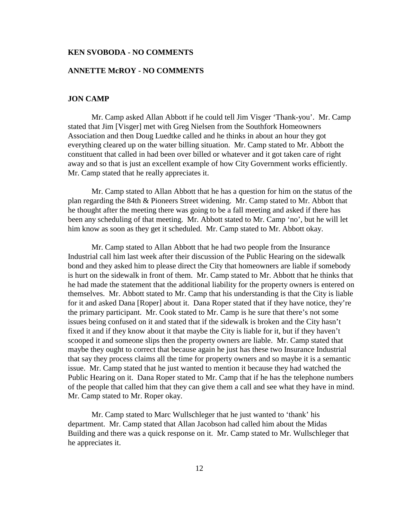#### **KEN SVOBODA - NO COMMENTS**

#### **ANNETTE McROY - NO COMMENTS**

#### **JON CAMP**

Mr. Camp asked Allan Abbott if he could tell Jim Visger 'Thank-you'. Mr. Camp stated that Jim [Visger] met with Greg Nielsen from the Southfork Homeowners Association and then Doug Luedtke called and he thinks in about an hour they got everything cleared up on the water billing situation. Mr. Camp stated to Mr. Abbott the constituent that called in had been over billed or whatever and it got taken care of right away and so that is just an excellent example of how City Government works efficiently. Mr. Camp stated that he really appreciates it.

Mr. Camp stated to Allan Abbott that he has a question for him on the status of the plan regarding the 84th & Pioneers Street widening. Mr. Camp stated to Mr. Abbott that he thought after the meeting there was going to be a fall meeting and asked if there has been any scheduling of that meeting. Mr. Abbott stated to Mr. Camp 'no', but he will let him know as soon as they get it scheduled. Mr. Camp stated to Mr. Abbott okay.

Mr. Camp stated to Allan Abbott that he had two people from the Insurance Industrial call him last week after their discussion of the Public Hearing on the sidewalk bond and they asked him to please direct the City that homeowners are liable if somebody is hurt on the sidewalk in front of them. Mr. Camp stated to Mr. Abbott that he thinks that he had made the statement that the additional liability for the property owners is entered on themselves. Mr. Abbott stated to Mr. Camp that his understanding is that the City is liable for it and asked Dana [Roper] about it. Dana Roper stated that if they have notice, they're the primary participant. Mr. Cook stated to Mr. Camp is he sure that there's not some issues being confused on it and stated that if the sidewalk is broken and the City hasn't fixed it and if they know about it that maybe the City is liable for it, but if they haven't scooped it and someone slips then the property owners are liable. Mr. Camp stated that maybe they ought to correct that because again he just has these two Insurance Industrial that say they process claims all the time for property owners and so maybe it is a semantic issue. Mr. Camp stated that he just wanted to mention it because they had watched the Public Hearing on it. Dana Roper stated to Mr. Camp that if he has the telephone numbers of the people that called him that they can give them a call and see what they have in mind. Mr. Camp stated to Mr. Roper okay.

Mr. Camp stated to Marc Wullschleger that he just wanted to 'thank' his department. Mr. Camp stated that Allan Jacobson had called him about the Midas Building and there was a quick response on it. Mr. Camp stated to Mr. Wullschleger that he appreciates it.